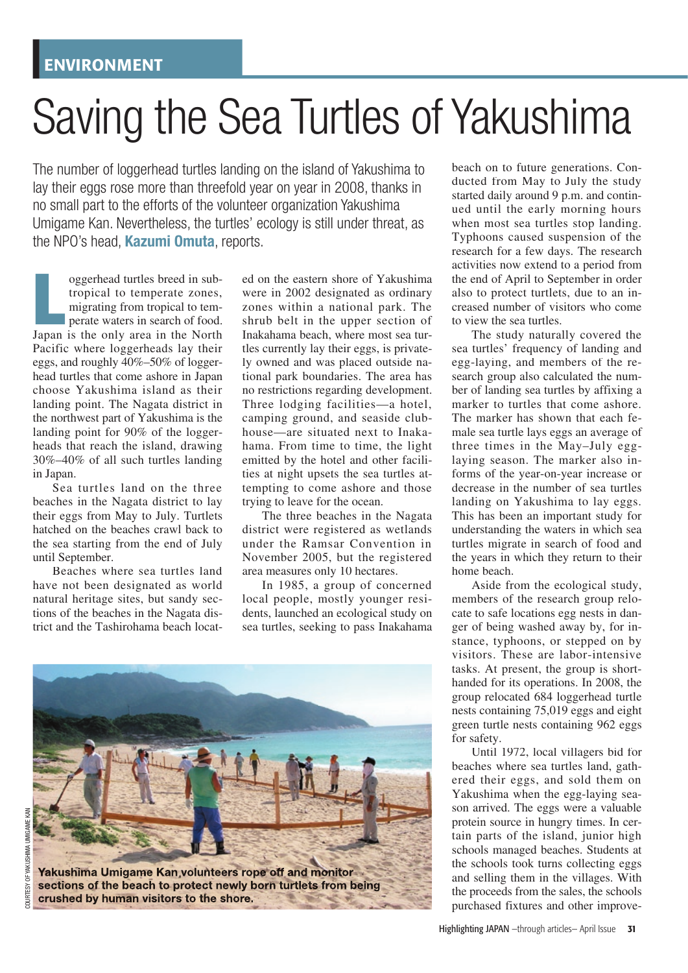## Saving the Sea Turtles of Yakushima

The number of loggerhead turtles landing on the island of Yakushima to lay their eggs rose more than threefold year on year in 2008, thanks in no small part to the efforts of the volunteer organization Yakushima Umigame Kan. Nevertheless, the turtles' ecology is still under threat, as the NPO's head, **Kazumi Omuta**, reports.

oggerhead turtles breed in sub-<br>tropical to temperate zones,<br>migrating from tropical to tem-<br>perate waters in search of food.<br>Japan is the only area in the North oggerhead turtles breed in subtropical to temperate zones, migrating from tropical to tem**perate waters in search of food.** Pacific where loggerheads lay their eggs, and roughly 40%–50% of loggerhead turtles that come ashore in Japan choose Yakushima island as their landing point. The Nagata district in the northwest part of Yakushima is the landing point for 90% of the loggerheads that reach the island, drawing 30%–40% of all such turtles landing in Japan.

Sea turtles land on the three beaches in the Nagata district to lay their eggs from May to July. Turtlets hatched on the beaches crawl back to the sea starting from the end of July until September.

Beaches where sea turtles land have not been designated as world natural heritage sites, but sandy sections of the beaches in the Nagata district and the Tashirohama beach locat-

ed on the eastern shore of Yakushima were in 2002 designated as ordinary zones within a national park. The shrub belt in the upper section of Inakahama beach, where most sea turtles currently lay their eggs, is privately owned and was placed outside national park boundaries. The area has no restrictions regarding development. Three lodging facilities—a hotel, camping ground, and seaside clubhouse—are situated next to Inakahama. From time to time, the light emitted by the hotel and other facilities at night upsets the sea turtles attempting to come ashore and those trying to leave for the ocean.

The three beaches in the Nagata district were registered as wetlands under the Ramsar Convention in November 2005, but the registered area measures only 10 hectares.

In 1985, a group of concerned local people, mostly younger residents, launched an ecological study on sea turtles, seeking to pass Inakahama



beach on to future generations. Conducted from May to July the study started daily around 9 p.m. and continued until the early morning hours when most sea turtles stop landing. Typhoons caused suspension of the research for a few days. The research activities now extend to a period from the end of April to September in order also to protect turtlets, due to an increased number of visitors who come to view the sea turtles.

The study naturally covered the sea turtles' frequency of landing and egg-laying, and members of the research group also calculated the number of landing sea turtles by affixing a marker to turtles that come ashore. The marker has shown that each female sea turtle lays eggs an average of three times in the May–July egglaying season. The marker also informs of the year-on-year increase or decrease in the number of sea turtles landing on Yakushima to lay eggs. This has been an important study for understanding the waters in which sea turtles migrate in search of food and the years in which they return to their home beach.

Aside from the ecological study, members of the research group relocate to safe locations egg nests in danger of being washed away by, for instance, typhoons, or stepped on by visitors. These are labor-intensive tasks. At present, the group is shorthanded for its operations. In 2008, the group relocated 684 loggerhead turtle nests containing 75,019 eggs and eight green turtle nests containing 962 eggs for safety.

Until 1972, local villagers bid for beaches where sea turtles land, gathered their eggs, and sold them on Yakushima when the egg-laying season arrived. The eggs were a valuable protein source in hungry times. In certain parts of the island, junior high schools managed beaches. Students at the schools took turns collecting eggs and selling them in the villages. With the proceeds from the sales, the schools purchased fixtures and other improve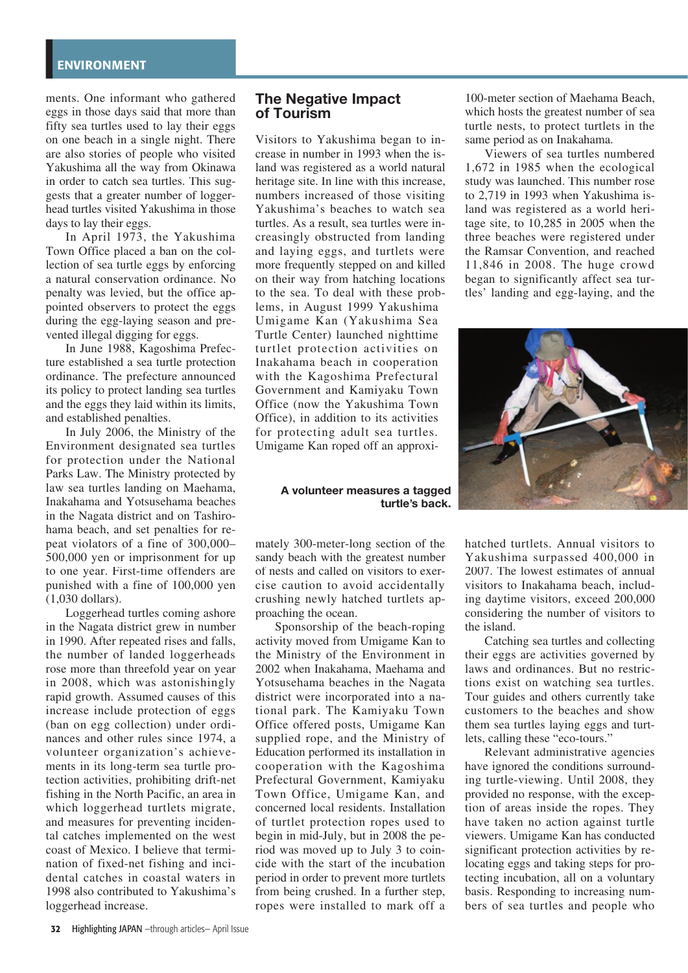ments. One informant who gathered eggs in those days said that more than fifty sea turtles used to lay their eggs on one beach in a single night. There are also stories of people who visited Yakushima all the way from Okinawa in order to catch sea turtles. This suggests that a greater number of loggerhead turtles visited Yakushima in those days to lay their eggs.

In April 1973, the Yakushima Town Office placed a ban on the collection of sea turtle eggs by enforcing a natural conservation ordinance. No penalty was levied, but the office appointed observers to protect the eggs during the egg-laying season and prevented illegal digging for eggs.

In June 1988, Kagoshima Prefecture established a sea turtle protection ordinance. The prefecture announced its policy to protect landing sea turtles and the eggs they laid within its limits, and established penalties.

In July 2006, the Ministry of the Environment designated sea turtles for protection under the National Parks Law. The Ministry protected by law sea turtles landing on Maehama, Inakahama and Yotsusehama beaches in the Nagata district and on Tashirohama beach, and set penalties for repeat violators of a fine of 300,000– 500,000 yen or imprisonment for up to one year. First-time offenders are punished with a fine of 100,000 yen (1,030 dollars).

Loggerhead turtles coming ashore in the Nagata district grew in number in 1990. After repeated rises and falls, the number of landed loggerheads rose more than threefold year on year in 2008, which was astonishingly rapid growth. Assumed causes of this increase include protection of eggs (ban on egg collection) under ordinances and other rules since 1974, a volunteer organization's achievements in its long-term sea turtle protection activities, prohibiting drift-net fishing in the North Pacific, an area in which loggerhead turtlets migrate, and measures for preventing incidental catches implemented on the west coast of Mexico. I believe that termination of fixed-net fishing and incidental catches in coastal waters in 1998 also contributed to Yakushima's loggerhead increase.

## **The Negative Impact of Tourism**

Visitors to Yakushima began to increase in number in 1993 when the island was registered as a world natural heritage site. In line with this increase, numbers increased of those visiting Yakushima's beaches to watch sea turtles. As a result, sea turtles were increasingly obstructed from landing and laying eggs, and turtlets were more frequently stepped on and killed on their way from hatching locations to the sea. To deal with these problems, in August 1999 Yakushima Umigame Kan (Yakushima Sea Turtle Center) launched nighttime turtlet protection activities on Inakahama beach in cooperation with the Kagoshima Prefectural Government and Kamivaku Town Office (now the Yakushima Town Office), in addition to its activities for protecting adult sea turtles. Umigame Kan roped off an approxi-

## **A volunteer measures a tagged turtle's back.**

mately 300-meter-long section of the sandy beach with the greatest number of nests and called on visitors to exercise caution to avoid accidentally crushing newly hatched turtlets approaching the ocean.

Sponsorship of the beach-roping activity moved from Umigame Kan to the Ministry of the Environment in 2002 when Inakahama, Maehama and Yotsusehama beaches in the Nagata district were incorporated into a national park. The Kamiyaku Town Office offered posts, Umigame Kan supplied rope, and the Ministry of Education performed its installation in cooperation with the Kagoshima Prefectural Government, Kamiyaku Town Office, Umigame Kan, and concerned local residents. Installation of turtlet protection ropes used to begin in mid-July, but in 2008 the period was moved up to July 3 to coincide with the start of the incubation period in order to prevent more turtlets from being crushed. In a further step, ropes were installed to mark off a

100-meter section of Maehama Beach, which hosts the greatest number of sea turtle nests, to protect turtlets in the same period as on Inakahama.

Viewers of sea turtles numbered 1,672 in 1985 when the ecological study was launched. This number rose to 2,719 in 1993 when Yakushima island was registered as a world heritage site, to 10,285 in 2005 when the three beaches were registered under the Ramsar Convention, and reached 11,846 in 2008. The huge crowd began to significantly affect sea turtles' landing and egg-laying, and the



hatched turtlets. Annual visitors to Yakushima surpassed 400,000 in 2007. The lowest estimates of annual visitors to Inakahama beach, including daytime visitors, exceed 200,000 considering the number of visitors to the island.

Catching sea turtles and collecting their eggs are activities governed by laws and ordinances. But no restrictions exist on watching sea turtles. Tour guides and others currently take customers to the beaches and show them sea turtles laying eggs and turtlets, calling these "eco-tours."

Relevant administrative agencies have ignored the conditions surrounding turtle-viewing. Until 2008, they provided no response, with the exception of areas inside the ropes. They have taken no action against turtle viewers. Umigame Kan has conducted significant protection activities by relocating eggs and taking steps for protecting incubation, all on a voluntary basis. Responding to increasing numbers of sea turtles and people who